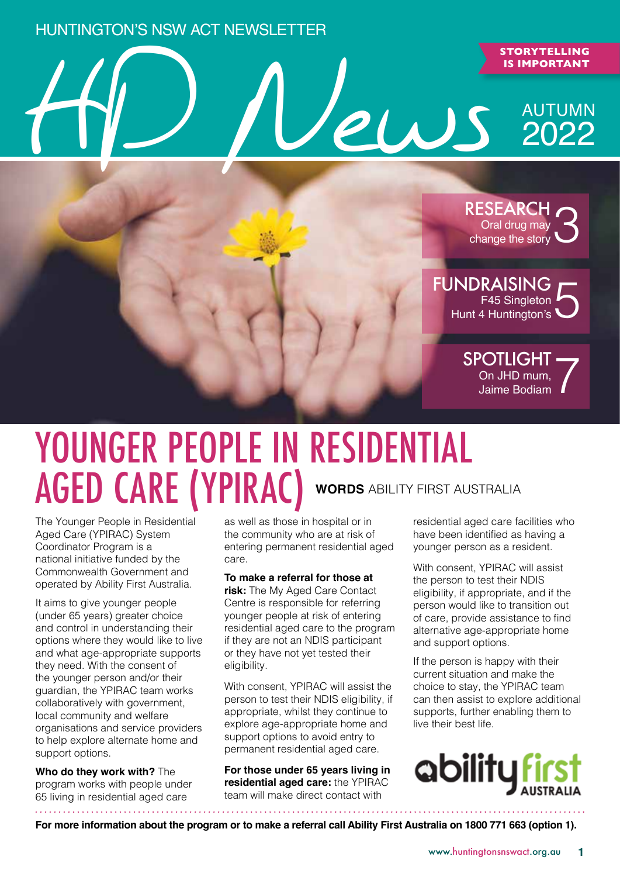### Huntington's NSW ACT Newsletter

## HD News 2022 **IS IMPORTANT** AUTUMN 2022



## YOUNGER PEOPLE IN RESIDENTIAL AGED CARE (YPIRAC) **WORDS** ABILITY FIRST AUSTRALIA

The Younger People in Residential Aged Care (YPIRAC) System Coordinator Program is a national initiative funded by the Commonwealth Government and operated by Ability First Australia.

It aims to give younger people (under 65 years) greater choice and control in understanding their options where they would like to live and what age-appropriate supports they need. With the consent of the younger person and/or their guardian, the YPIRAC team works collaboratively with government, local community and welfare organisations and service providers to help explore alternate home and support options.

**Who do they work with?** The program works with people under 65 living in residential aged care

as well as those in hospital or in the community who are at risk of entering permanent residential aged care.

### **To make a referral for those at**

**risk:** The My Aged Care Contact Centre is responsible for referring younger people at risk of entering residential aged care to the program if they are not an NDIS participant or they have not yet tested their eligibility.

With consent, YPIRAC will assist the person to test their NDIS eligibility, if appropriate, whilst they continue to explore age-appropriate home and support options to avoid entry to permanent residential aged care.

**For those under 65 years living in residential aged care:** the YPIRAC team will make direct contact with

residential aged care facilities who have been identified as having a younger person as a resident.

With consent, YPIRAC will assist the person to test their NDIS eligibility, if appropriate, and if the person would like to transition out of care, provide assistance to find alternative age-appropriate home and support options.

If the person is happy with their current situation and make the choice to stay, the YPIRAC team can then assist to explore additional supports, further enabling them to live their best life.



**For more information about the program or to make a referral call Ability First Australia on 1800 771 663 (option 1).**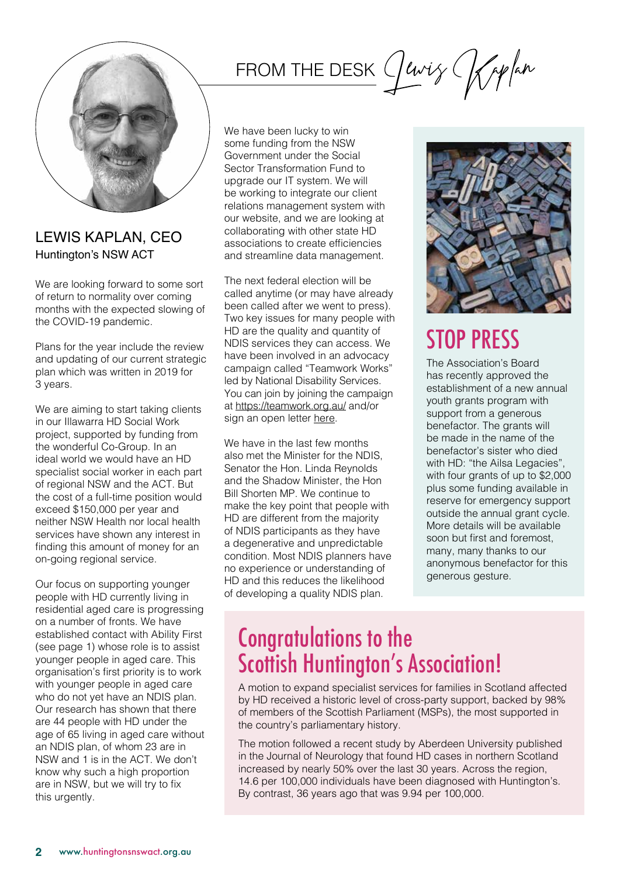

### Lewis Kaplan, CEO Huntington's NSW ACT

We are looking forward to some sort of return to normality over coming months with the expected slowing of the COVID-19 pandemic.

Plans for the year include the review and updating of our current strategic plan which was written in 2019 for 3 years.

We are aiming to start taking clients in our Illawarra HD Social Work project, supported by funding from the wonderful Co-Group. In an ideal world we would have an HD specialist social worker in each part of regional NSW and the ACT. But the cost of a full-time position would exceed \$150,000 per year and neither NSW Health nor local health services have shown any interest in finding this amount of money for an on-going regional service.

Our focus on supporting younger people with HD currently living in residential aged care is progressing on a number of fronts. We have established contact with Ability First (see page 1) whose role is to assist younger people in aged care. This organisation's first priority is to work with younger people in aged care who do not yet have an NDIS plan. Our research has shown that there are 44 people with HD under the age of 65 living in aged care without an NDIS plan, of whom 23 are in NSW and 1 is in the ACT. We don't know why such a high proportion are in NSW, but we will try to fix this urgently.

## FROM THE DESK

We have been lucky to win some funding from the NSW Government under the Social Sector Transformation Fund to upgrade our IT system. We will be working to integrate our client relations management system with our website, and we are looking at collaborating with other state HD associations to create efficiencies and streamline data management.

The next federal election will be called anytime (or may have already been called after we went to press). Two key issues for many people with HD are the quality and quantity of NDIS services they can access. We have been involved in an advocacy campaign called "Teamwork Works" led by National Disability Services. You can join by joining the campaign at<https://teamwork.org.au/> and/or sign an open letter [here.](https://teamwork.org.au/open-letter/)

We have in the last few months also met the Minister for the NDIS, Senator the Hon. Linda Reynolds and the Shadow Minister, the Hon Bill Shorten MP. We continue to make the key point that people with HD are different from the majority of NDIS participants as they have a degenerative and unpredictable condition. Most NDIS planners have no experience or understanding of HD and this reduces the likelihood of developing a quality NDIS plan.



### STOP PRESS

The Association's Board has recently approved the establishment of a new annual youth grants program with support from a generous benefactor. The grants will be made in the name of the benefactor's sister who died with HD: "the Ailsa Legacies", with four grants of up to \$2,000 plus some funding available in reserve for emergency support outside the annual grant cycle. More details will be available soon but first and foremost, many, many thanks to our anonymous benefactor for this generous gesture.

### Congratulations to the Scottish Huntington's Association!

A motion to expand specialist services for families in Scotland affected by HD received a historic level of cross-party support, backed by 98% of members of the Scottish Parliament (MSPs), the most supported in the country's parliamentary history.

The motion followed a recent study by Aberdeen University published in the Journal of Neurology that found HD cases in northern Scotland increased by nearly 50% over the last 30 years. Across the region, 14.6 per 100,000 individuals have been diagnosed with Huntington's. By contrast, 36 years ago that was 9.94 per 100,000.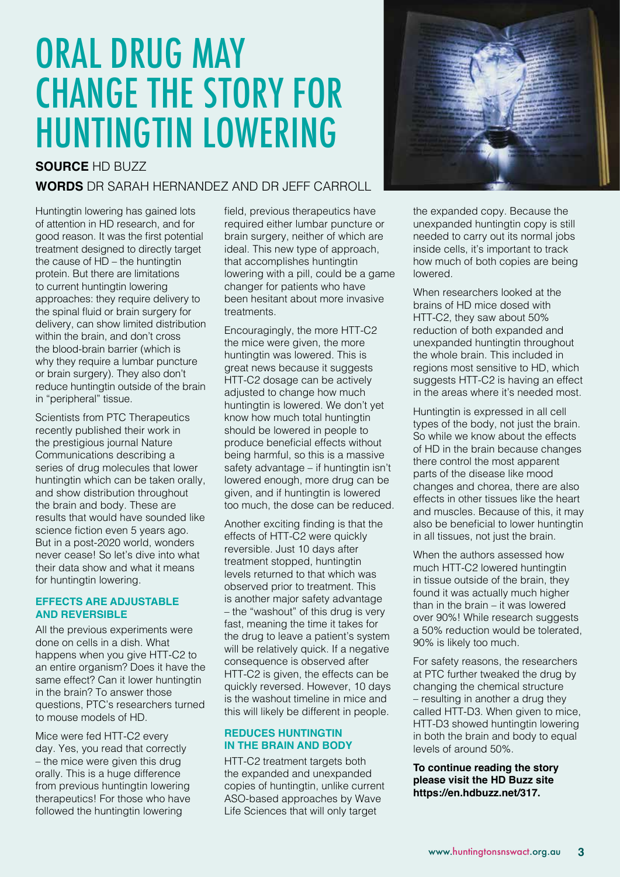## ORAL DRUG MAY change the story for huntingtin lowering

### **SOURCE** HD BUZZ

### **WORDS** DR SARAH HERNANDEZ AND DR JEFF CARROLL

Huntingtin lowering has gained lots of attention in HD research, and for good reason. It was the first potential treatment designed to directly target the cause of HD – the huntingtin protein. But there are limitations to current huntingtin lowering approaches: they require delivery to the spinal fluid or brain surgery for delivery, can show limited distribution within the brain, and don't cross the blood-brain barrier (which is why they require a lumbar puncture or brain surgery). They also don't reduce huntingtin outside of the brain in "peripheral" tissue.

Scientists from PTC Therapeutics recently published their work in the prestigious journal Nature Communications describing a series of drug molecules that lower huntingtin which can be taken orally, and show distribution throughout the brain and body. These are results that would have sounded like science fiction even 5 years ago. But in a post-2020 world, wonders never cease! So let's dive into what their data show and what it means for huntingtin lowering.

#### **Effects are adjustable and reversible**

All the previous experiments were done on cells in a dish. What happens when you give HTT-C2 to an entire organism? Does it have the same effect? Can it lower huntingtin in the brain? To answer those questions, PTC's researchers turned to mouse models of HD.

Mice were fed HTT-C2 every day. Yes, you read that correctly – the mice were given this drug orally. This is a huge difference from previous huntingtin lowering therapeutics! For those who have followed the huntingtin lowering

field, previous therapeutics have required either lumbar puncture or brain surgery, neither of which are ideal. This new type of approach, that accomplishes huntingtin lowering with a pill, could be a game changer for patients who have been hesitant about more invasive treatments.

Encouragingly, the more HTT-C2 the mice were given, the more huntingtin was lowered. This is great news because it suggests HTT-C2 dosage can be actively adjusted to change how much huntingtin is lowered. We don't yet know how much total huntingtin should be lowered in people to produce beneficial effects without being harmful, so this is a massive safety advantage – if huntingtin isn't lowered enough, more drug can be given, and if huntingtin is lowered too much, the dose can be reduced.

Another exciting finding is that the effects of HTT-C2 were quickly reversible. Just 10 days after treatment stopped, huntingtin levels returned to that which was observed prior to treatment. This is another major safety advantage – the "washout" of this drug is very fast, meaning the time it takes for the drug to leave a patient's system will be relatively quick. If a negative consequence is observed after HTT-C2 is given, the effects can be quickly reversed. However, 10 days is the washout timeline in mice and this will likely be different in people.

#### **Reduces huntingtin in the brain and body**

HTT-C2 treatment targets both the expanded and unexpanded copies of huntingtin, unlike current ASO-based approaches by Wave Life Sciences that will only target



the expanded copy. Because the unexpanded huntingtin copy is still needed to carry out its normal jobs inside cells, it's important to track how much of both copies are being lowered.

When researchers looked at the brains of HD mice dosed with HTT-C2, they saw about 50% reduction of both expanded and unexpanded huntingtin throughout the whole brain. This included in regions most sensitive to HD, which suggests HTT-C2 is having an effect in the areas where it's needed most.

Huntingtin is expressed in all cell types of the body, not just the brain. So while we know about the effects of HD in the brain because changes there control the most apparent parts of the disease like mood changes and chorea, there are also effects in other tissues like the heart and muscles. Because of this, it may also be beneficial to lower huntingtin in all tissues, not just the brain.

When the authors assessed how much HTT-C2 lowered huntingtin in tissue outside of the brain, they found it was actually much higher than in the brain – it was lowered over 90%! While research suggests a 50% reduction would be tolerated, 90% is likely too much.

For safety reasons, the researchers at PTC further tweaked the drug by changing the chemical structure – resulting in another a drug they called HTT-D3. When given to mice, HTT-D3 showed huntingtin lowering in both the brain and body to equal levels of around 50%.

### **To continue reading the story please visit the HD Buzz site <https://en.hdbuzz.net/317>.**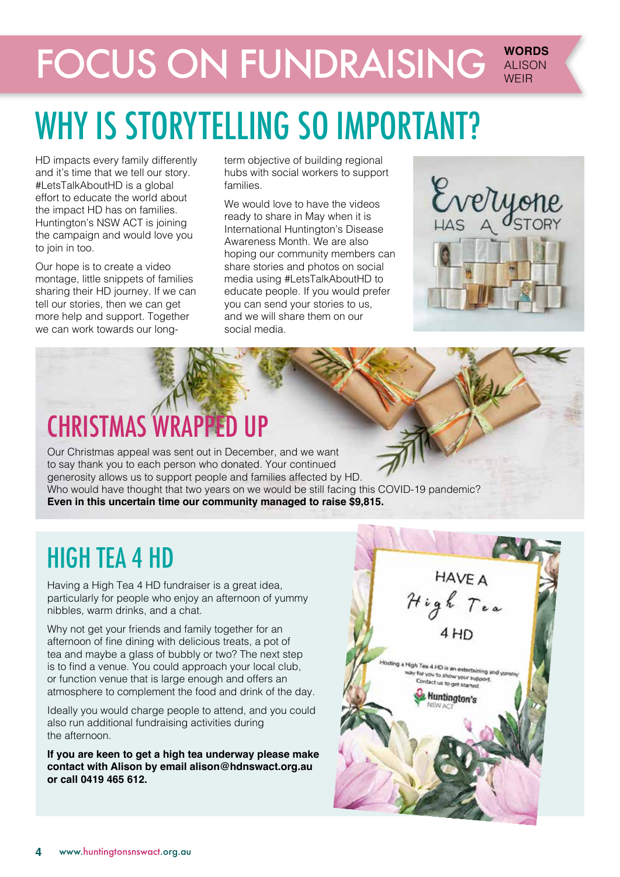### **FOCUS ON FUNDRAISING WORDS** ALISON **WFIR**

## WHY IS STORYTELLING SO IMPORTANT?

HD impacts every family differently and it's time that we tell our story. #LetsTalkAboutHD is a global effort to educate the world about the impact HD has on families. Huntington's NSW ACT is joining the campaign and would love you to join in too.

Our hope is to create a video montage, little snippets of families sharing their HD journey. If we can tell our stories, then we can get more help and support. Together we can work towards our long-

term objective of building regional hubs with social workers to support families.

We would love to have the videos ready to share in May when it is International Huntington's Disease Awareness Month. We are also hoping our community members can share stories and photos on social media using #LetsTalkAboutHD to educate people. If you would prefer you can send your stories to us, and we will share them on our social media.



## CHRISTMAS WRAPPED UP

Our Christmas appeal was sent out in December, and we want to say thank you to each person who donated. Your continued generosity allows us to support people and families affected by HD. Who would have thought that two years on we would be still facing this COVID-19 pandemic? **Even in this uncertain time our community managed to raise \$9,815.**

## HIGH TEA 4 HD

Having a High Tea 4 HD fundraiser is a great idea, particularly for people who enjoy an afternoon of yummy nibbles, warm drinks, and a chat.

Why not get your friends and family together for an afternoon of fine dining with delicious treats, a pot of tea and maybe a glass of bubbly or two? The next step is to find a venue. You could approach your local club, or function venue that is large enough and offers an atmosphere to complement the food and drink of the day.

Ideally you would charge people to attend, and you could also run additional fundraising activities during the afternoon.

**If you are keen to get a high tea underway please make contact with Alison by email [alison@hdnswact.org.au](mailto:alison@hdnswact.org.au) or call 0419 465 612.** 

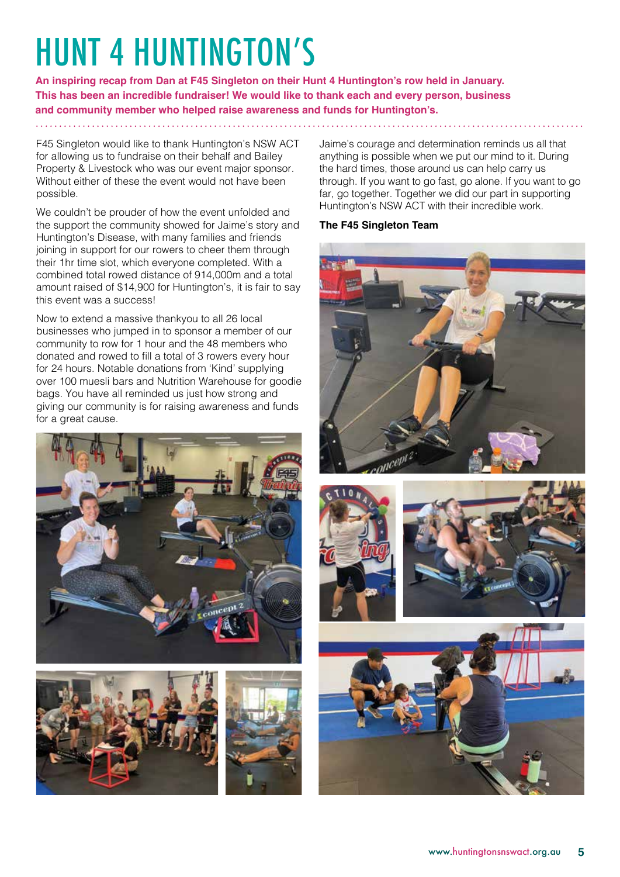# HUNT 4 HUNTINGTON'S

**An inspiring recap from Dan at F45 Singleton on their Hunt 4 Huntington's row held in January. This has been an incredible fundraiser! We would like to thank each and every person, business and community member who helped raise awareness and funds for Huntington's.** 

F45 Singleton would like to thank Huntington's NSW ACT for allowing us to fundraise on their behalf and Bailey Property & Livestock who was our event major sponsor. Without either of these the event would not have been possible.

We couldn't be prouder of how the event unfolded and the support the community showed for Jaime's story and Huntington's Disease, with many families and friends joining in support for our rowers to cheer them through their 1hr time slot, which everyone completed. With a combined total rowed distance of 914,000m and a total amount raised of \$14,900 for Huntington's, it is fair to say this event was a success!

Now to extend a massive thankyou to all 26 local businesses who jumped in to sponsor a member of our community to row for 1 hour and the 48 members who donated and rowed to fill a total of 3 rowers every hour for 24 hours. Notable donations from 'Kind' supplying over 100 muesli bars and Nutrition Warehouse for goodie bags. You have all reminded us just how strong and giving our community is for raising awareness and funds for a great cause.







Jaime's courage and determination reminds us all that anything is possible when we put our mind to it. During the hard times, those around us can help carry us through. If you want to go fast, go alone. If you want to go far, go together. Together we did our part in supporting Huntington's NSW ACT with their incredible work.

### **The F45 Singleton Team**







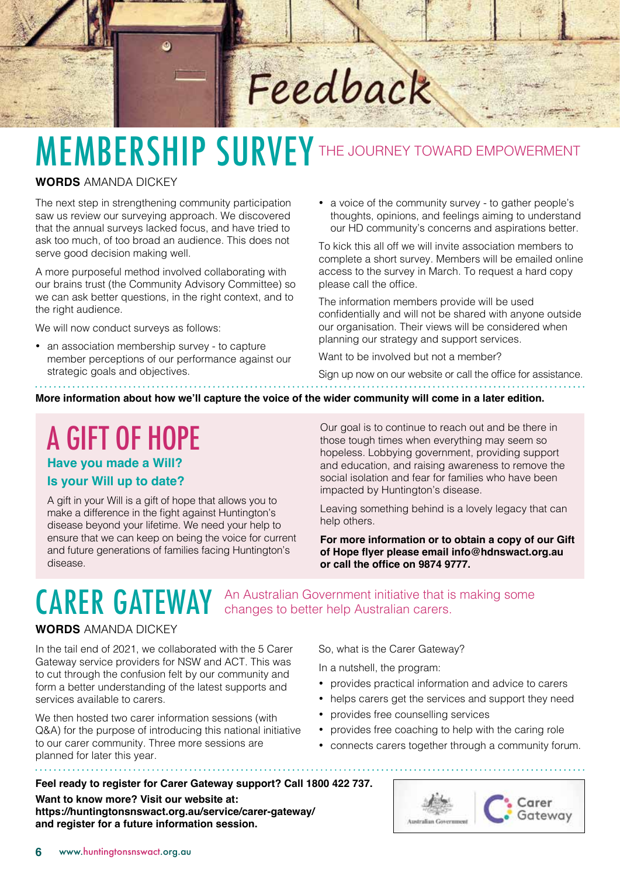# Feedback

# MEMBERSHIP SURVEY THE JOURNEY TOWARD EMPOWERMENT

### **WORDS** AMANDA DICKEY

The next step in strengthening community participation saw us review our surveying approach. We discovered that the annual surveys lacked focus, and have tried to ask too much, of too broad an audience. This does not serve good decision making well.

٥

A more purposeful method involved collaborating with our brains trust (the Community Advisory Committee) so we can ask better questions, in the right context, and to the right audience.

We will now conduct surveys as follows:

• an association membership survey - to capture member perceptions of our performance against our strategic goals and objectives.

• a voice of the community survey - to gather people's thoughts, opinions, and feelings aiming to understand our HD community's concerns and aspirations better.

To kick this all off we will invite association members to complete a short survey. Members will be emailed online access to the survey in March. To request a hard copy please call the office.

The information members provide will be used confidentially and will not be shared with anyone outside our organisation. Their views will be considered when planning our strategy and support services.

Want to be involved but not a member?

Sign up now on our website or call the office for assistance.

**More information about how we'll capture the voice of the wider community will come in a later edition.**

A GIFT OF HOPE

**Have you made a Will? Is your Will up to date?**

A gift in your Will is a gift of hope that allows you to make a difference in the fight against Huntington's disease beyond your lifetime. We need your help to ensure that we can keep on being the voice for current and future generations of families facing Huntington's disease.

Our goal is to continue to reach out and be there in those tough times when everything may seem so hopeless. Lobbying government, providing support and education, and raising awareness to remove the social isolation and fear for families who have been impacted by Huntington's disease.

Leaving something behind is a lovely legacy that can help others.

**For more information or to obtain a copy of our Gift of Hope flyer please email [info@hdnswact.org.au](mailto:info@hdnswact.org.au) or call the office on 9874 9777.**

CARER GATEWAY An Australian Government initiative that is making some CARER GATEWAY changes to better help Australian carers. changes to better help Australian carers.

### **WORDS** AMANDA DICKEY

In the tail end of 2021, we collaborated with the 5 Carer Gateway service providers for NSW and ACT. This was to cut through the confusion felt by our community and form a better understanding of the latest supports and services available to carers.

We then hosted two carer information sessions (with Q&A) for the purpose of introducing this national initiative to our carer community. Three more sessions are planned for later this year. 

So, what is the Carer Gateway?

In a nutshell, the program:

- provides practical information and advice to carers
- helps carers get the services and support they need
- provides free counselling services
- provides free coaching to help with the caring role
- connects carers together through a community forum.

**Feel ready to register for Carer Gateway support? Call 1800 422 737. Want to know more? Visit our website at: <https://huntingtonsnswact.org.au/service/carer-gateway/> and register for a future information session.**

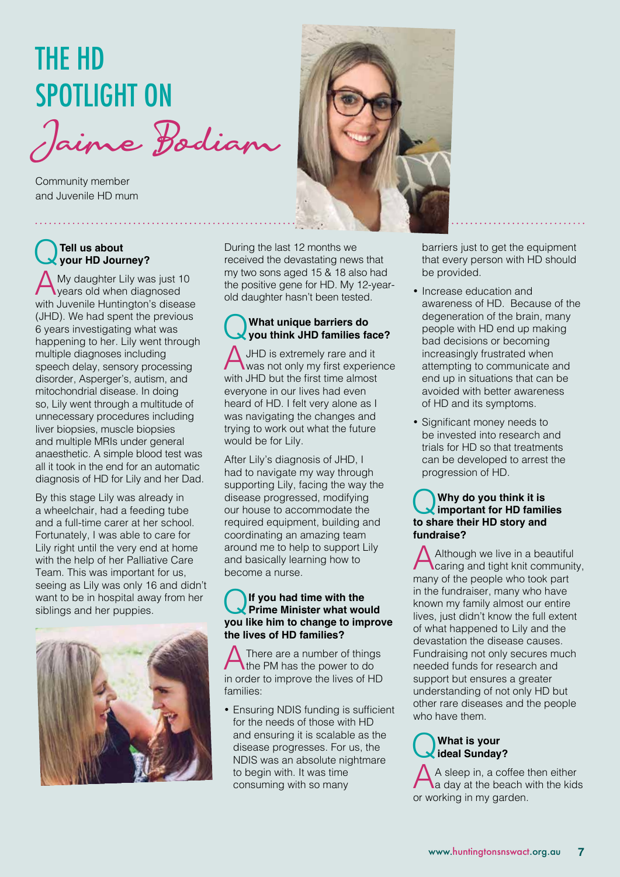## THE HD SPOTLIGHT ON

Jaime Bodiam

Community member and Juvenile HD mum

### Q**Tell us about your HD Journey?**

 $\bigwedge$  My daughter Lily was just 10 years old when diagnosed with Juvenile Huntington's disease (JHD). We had spent the previous 6 years investigating what was happening to her. Lily went through multiple diagnoses including speech delay, sensory processing disorder, Asperger's, autism, and mitochondrial disease. In doing so, Lily went through a multitude of unnecessary procedures including liver biopsies, muscle biopsies and multiple MRIs under general anaesthetic. A simple blood test was all it took in the end for an automatic diagnosis of HD for Lily and her Dad.

By this stage Lily was already in a wheelchair, had a feeding tube and a full-time carer at her school. Fortunately, I was able to care for Lily right until the very end at home with the help of her Palliative Care Team. This was important for us, seeing as Lily was only 16 and didn't want to be in hospital away from her siblings and her puppies.



During the last 12 months we received the devastating news that my two sons aged 15 & 18 also had the positive gene for HD. My 12-yearold daughter hasn't been tested.

### Q**What unique barriers do you think JHD families face?**

JHD is extremely rare and it was not only my first experience with JHD but the first time almost everyone in our lives had even heard of HD. I felt very alone as I was navigating the changes and trying to work out what the future would be for Lily.

After Lily's diagnosis of JHD, I had to navigate my way through supporting Lily, facing the way the disease progressed, modifying our house to accommodate the required equipment, building and coordinating an amazing team around me to help to support Lily and basically learning how to become a nurse.

### Q**If you had time with the Prime Minister what would you like him to change to improve the lives of HD families?**

There are a number of things the PM has the power to do in order to improve the lives of HD families:

• Ensuring NDIS funding is sufficient for the needs of those with HD and ensuring it is scalable as the disease progresses. For us, the NDIS was an absolute nightmare to begin with. It was time consuming with so many



barriers just to get the equipment that every person with HD should be provided.

- Increase education and awareness of HD. Because of the degeneration of the brain, many people with HD end up making bad decisions or becoming increasingly frustrated when attempting to communicate and end up in situations that can be avoided with better awareness of HD and its symptoms.
- • Significant money needs to be invested into research and trials for HD so that treatments can be developed to arrest the progression of HD.

### Q**Why do you think it is important for HD families to share their HD story and fundraise?**

Although we live in a beautiful caring and tight knit community, many of the people who took part in the fundraiser, many who have known my family almost our entire lives, just didn't know the full extent of what happened to Lily and the devastation the disease causes. Fundraising not only secures much needed funds for research and support but ensures a greater understanding of not only HD but other rare diseases and the people who have them.

### Q**What is your ideal Sunday?**

A sleep in, a coffee then either<br>a day at the beach with the kids or working in my garden.